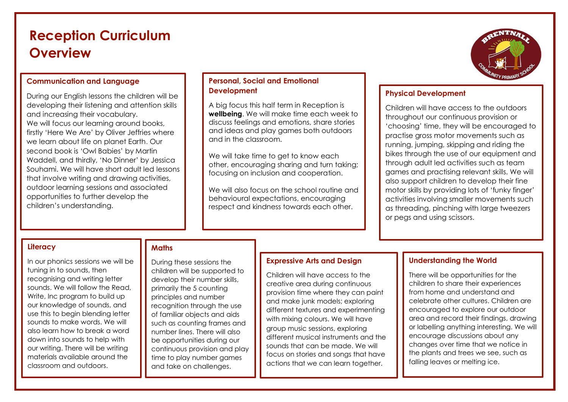# **Reception Curriculum Overview**

### **Communication and Language**

During our English lessons the children will be developing their listening and attention skills and increasing their vocabulary. We will focus our learning around books, firstly 'Here We Are' by Oliver Jeffries where we learn about life on planet Earth. Our second book is 'Owl Babies' by Martin Waddell, and thirdly, 'No Dinner' by Jessica Souhami. We will have short adult led lessons that involve writing and drawing activities, outdoor learning sessions and associated opportunities to further develop the children's understanding.

### **Personal, Social and Emotional Development**

A big focus this half term in Reception is **wellbeing**. We will make time each week to discuss feelings and emotions, share stories and ideas and play games both outdoors and in the classroom.

We will take time to get to know each other, encouraging sharing and turn taking; focusing on inclusion and cooperation.

We will also focus on the school routine and behavioural expectations, encouraging respect and kindness towards each other.



### **Physical Development**

Children will have access to the outdoors throughout our continuous provision or 'choosing' time, they will be encouraged to practise gross motor movements such as running, jumping, skipping and riding the bikes through the use of our equipment and through adult led activities such as team games and practising relevant skills. We will also support children to develop their fine motor skills by providing lots of 'funky finger' activities involving smaller movements such as threading, pinching with large tweezers or pegs and using scissors.

#### **Literacy**

In our phonics sessions we will be tuning in to sounds, then recognising and writing letter sounds. We will follow the Read, Write, Inc program to build up our knowledge of sounds, and use this to begin blending letter sounds to make words. We will also learn how to break a word down into sounds to help with our writing. There will be writing materials available around the classroom and outdoors.

# **Maths**

During these sessions the children will be supported to develop their number skills, primarily the 5 counting principles and number recognition through the use of familiar objects and aids such as counting frames and number lines. There will also be opportunities during our continuous provision and play time to play number games and take on challenges.

#### **Expressive Arts and Design**

Children will have access to the creative area during continuous provision time where they can paint and make junk models; exploring different textures and experimenting with mixing colours. We will have group music sessions, exploring different musical instruments and the sounds that can be made. We will focus on stories and songs that have actions that we can learn together.

## **Understanding the World**

There will be opportunities for the children to share their experiences from home and understand and celebrate other cultures. Children are encouraged to explore our outdoor area and record their findings, drawing or labelling anything interesting. We will encourage discussions about any changes over time that we notice in the plants and trees we see, such as falling leaves or melting ice.